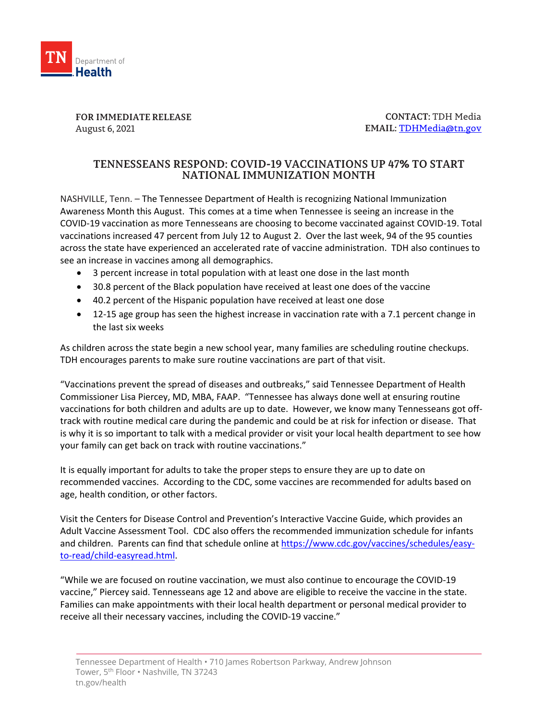

**FOR IMMEDIATE RELEASE** August 6, 2021

**CONTACT:** TDH Media **EMAIL:** [TDHMedia@tn.gov](mailto:TDHMedia@tn.gov)

## **TENNESSEANS RESPOND: COVID-19 VACCINATIONS UP 47% TO START NATIONAL IMMUNIZATION MONTH**

NASHVILLE, Tenn. – The Tennessee Department of Health is recognizing National Immunization Awareness Month this August. This comes at a time when Tennessee is seeing an increase in the COVID-19 vaccination as more Tennesseans are choosing to become vaccinated against COVID-19. Total vaccinations increased 47 percent from July 12 to August 2. Over the last week, 94 of the 95 counties across the state have experienced an accelerated rate of vaccine administration. TDH also continues to see an increase in vaccines among all demographics.

- 3 percent increase in total population with at least one dose in the last month
- 30.8 percent of the Black population have received at least one does of the vaccine
- 40.2 percent of the Hispanic population have received at least one dose
- 12-15 age group has seen the highest increase in vaccination rate with a 7.1 percent change in the last six weeks

As children across the state begin a new school year, many families are scheduling routine checkups. TDH encourages parents to make sure routine vaccinations are part of that visit.

"Vaccinations prevent the spread of diseases and outbreaks," said Tennessee Department of Health Commissioner Lisa Piercey, MD, MBA, FAAP. "Tennessee has always done well at ensuring routine vaccinations for both children and adults are up to date. However, we know many Tennesseans got offtrack with routine medical care during the pandemic and could be at risk for infection or disease. That is why it is so important to talk with a medical provider or visit your local health department to see how your family can get back on track with routine vaccinations."

It is equally important for adults to take the proper steps to ensure they are up to date on recommended vaccines. According to the CDC, some vaccines are recommended for adults based on age, health condition, or other factors.

Visit the Centers for Disease Control and Prevention's Interactive Vaccine Guide, which provides an Adult Vaccine Assessment Tool. CDC also offers the recommended immunization schedule for infants and children. Parents can find that schedule online at [https://www.cdc.gov/vaccines/schedules/easy](https://www.cdc.gov/vaccines/schedules/easy-to-read/child-easyread.html)[to-read/child-easyread.html.](https://www.cdc.gov/vaccines/schedules/easy-to-read/child-easyread.html)

"While we are focused on routine vaccination, we must also continue to encourage the COVID-19 vaccine," Piercey said. Tennesseans age 12 and above are eligible to receive the vaccine in the state. Families can make appointments with their local health department or personal medical provider to receive all their necessary vaccines, including the COVID-19 vaccine."